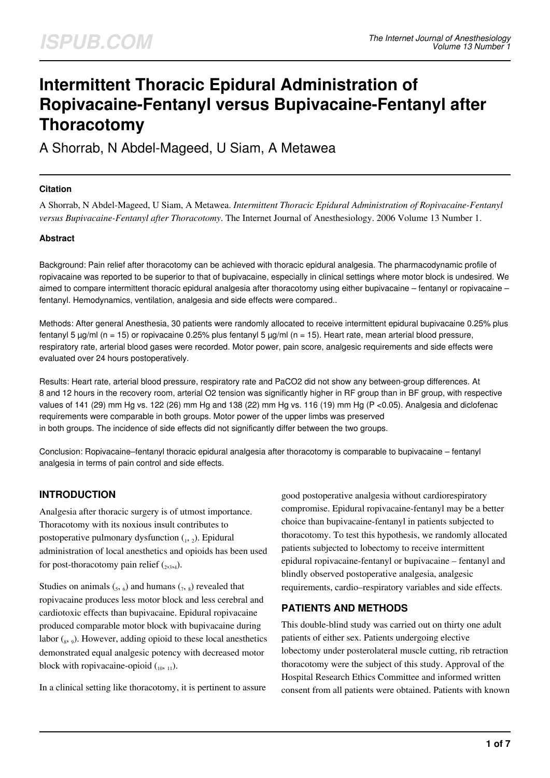# **Intermittent Thoracic Epidural Administration of Ropivacaine-Fentanyl versus Bupivacaine-Fentanyl after Thoracotomy**

A Shorrab, N Abdel-Mageed, U Siam, A Metawea

#### **Citation**

A Shorrab, N Abdel-Mageed, U Siam, A Metawea. *Intermittent Thoracic Epidural Administration of Ropivacaine-Fentanyl versus Bupivacaine-Fentanyl after Thoracotomy*. The Internet Journal of Anesthesiology. 2006 Volume 13 Number 1.

#### **Abstract**

Background: Pain relief after thoracotomy can be achieved with thoracic epidural analgesia. The pharmacodynamic profile of ropivacaine was reported to be superior to that of bupivacaine, especially in clinical settings where motor block is undesired. We aimed to compare intermittent thoracic epidural analgesia after thoracotomy using either bupivacaine – fentanyl or ropivacaine – fentanyl. Hemodynamics, ventilation, analgesia and side effects were compared..

Methods: After general Anesthesia, 30 patients were randomly allocated to receive intermittent epidural bupivacaine 0.25% plus fentanyl 5  $\mu$ g/ml (n = 15) or ropivacaine 0.25% plus fentanyl 5  $\mu$ g/ml (n = 15). Heart rate, mean arterial blood pressure, respiratory rate, arterial blood gases were recorded. Motor power, pain score, analgesic requirements and side effects were evaluated over 24 hours postoperatively.

Results: Heart rate, arterial blood pressure, respiratory rate and PaCO2 did not show any between-group differences. At 8 and 12 hours in the recovery room, arterial O2 tension was significantly higher in RF group than in BF group, with respective values of 141 (29) mm Hg vs. 122 (26) mm Hg and 138 (22) mm Hg vs. 116 (19) mm Hg (P <0.05). Analgesia and diclofenac requirements were comparable in both groups. Motor power of the upper limbs was preserved in both groups. The incidence of side effects did not significantly differ between the two groups.

Conclusion: Ropivacaine–fentanyl thoracic epidural analgesia after thoracotomy is comparable to bupivacaine – fentanyl analgesia in terms of pain control and side effects.

## **INTRODUCTION**

Analgesia after thoracic surgery is of utmost importance. Thoracotomy with its noxious insult contributes to postoperative pulmonary dysfunction  $_{1}$ ,  $_{2}$ ). Epidural administration of local anesthetics and opioids has been used for post-thoracotomy pain relief  $_{(2,3,4)}$ .

Studies on animals  $\left($ <sub>5</sub>,  $_6$ ) and humans  $\left($ <sub>7</sub>,  $_8\right)$  revealed that ropivacaine produces less motor block and less cerebral and cardiotoxic effects than bupivacaine. Epidural ropivacaine produced comparable motor block with bupivacaine during labor  $({}_{8}, {}_{9})$ . However, adding opioid to these local anesthetics demonstrated equal analgesic potency with decreased motor block with ropivacaine-opioid  $_{(10, 11)}$ .

In a clinical setting like thoracotomy, it is pertinent to assure

good postoperative analgesia without cardiorespiratory compromise. Epidural ropivacaine-fentanyl may be a better choice than bupivacaine-fentanyl in patients subjected to thoracotomy. To test this hypothesis, we randomly allocated patients subjected to lobectomy to receive intermittent epidural ropivacaine-fentanyl or bupivacaine – fentanyl and blindly observed postoperative analgesia, analgesic requirements, cardio–respiratory variables and side effects.

## **PATIENTS AND METHODS**

This double-blind study was carried out on thirty one adult patients of either sex. Patients undergoing elective lobectomy under posterolateral muscle cutting, rib retraction thoracotomy were the subject of this study. Approval of the Hospital Research Ethics Committee and informed written consent from all patients were obtained. Patients with known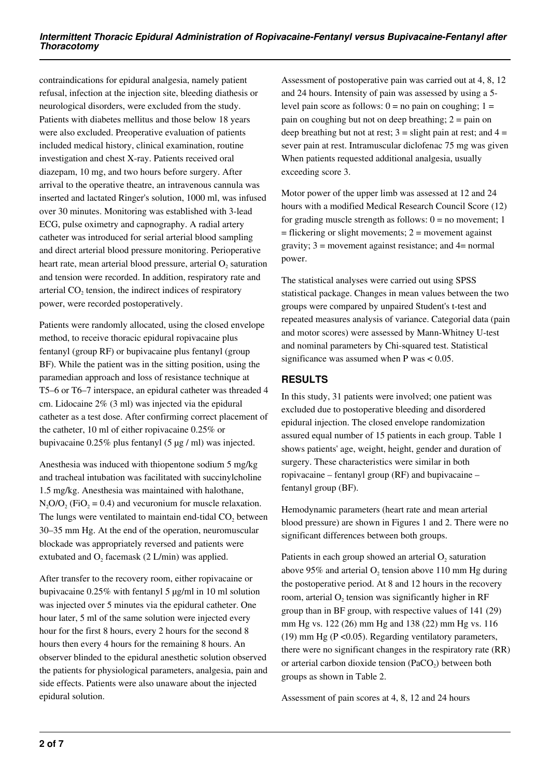contraindications for epidural analgesia, namely patient refusal, infection at the injection site, bleeding diathesis or neurological disorders, were excluded from the study. Patients with diabetes mellitus and those below 18 years were also excluded. Preoperative evaluation of patients included medical history, clinical examination, routine investigation and chest X-ray. Patients received oral diazepam, 10 mg, and two hours before surgery. After arrival to the operative theatre, an intravenous cannula was inserted and lactated Ringer's solution, 1000 ml, was infused over 30 minutes. Monitoring was established with 3-lead ECG, pulse oximetry and capnography. A radial artery catheter was introduced for serial arterial blood sampling and direct arterial blood pressure monitoring. Perioperative heart rate, mean arterial blood pressure, arterial  $O_2$  saturation and tension were recorded. In addition, respiratory rate and arterial  $CO<sub>2</sub>$  tension, the indirect indices of respiratory power, were recorded postoperatively.

Patients were randomly allocated, using the closed envelope method, to receive thoracic epidural ropivacaine plus fentanyl (group RF) or bupivacaine plus fentanyl (group BF). While the patient was in the sitting position, using the paramedian approach and loss of resistance technique at T5–6 or T6–7 interspace, an epidural catheter was threaded 4 cm. Lidocaine 2% (3 ml) was injected via the epidural catheter as a test dose. After confirming correct placement of the catheter, 10 ml of either ropivacaine 0.25% or bupivacaine 0.25% plus fentanyl (5 µg / ml) was injected.

Anesthesia was induced with thiopentone sodium 5 mg/kg and tracheal intubation was facilitated with succinylcholine 1.5 mg/kg. Anesthesia was maintained with halothane,  $N_2O/O_2$  (FiO<sub>2</sub> = 0.4) and vecuronium for muscle relaxation. The lungs were ventilated to maintain end-tidal  $CO<sub>2</sub>$  between 30–35 mm Hg. At the end of the operation, neuromuscular blockade was appropriately reversed and patients were extubated and  $O_2$  facemask (2 L/min) was applied.

After transfer to the recovery room, either ropivacaine or bupivacaine 0.25% with fentanyl 5 µg/ml in 10 ml solution was injected over 5 minutes via the epidural catheter. One hour later, 5 ml of the same solution were injected every hour for the first 8 hours, every 2 hours for the second 8 hours then every 4 hours for the remaining 8 hours. An observer blinded to the epidural anesthetic solution observed the patients for physiological parameters, analgesia, pain and side effects. Patients were also unaware about the injected epidural solution.

Assessment of postoperative pain was carried out at 4, 8, 12 and 24 hours. Intensity of pain was assessed by using a 5 level pain score as follows:  $0 = no$  pain on coughing;  $1 =$ pain on coughing but not on deep breathing;  $2 = \pi a$  in on deep breathing but not at rest;  $3 =$  slight pain at rest; and  $4 =$ sever pain at rest. Intramuscular diclofenac 75 mg was given When patients requested additional analgesia, usually exceeding score 3.

Motor power of the upper limb was assessed at 12 and 24 hours with a modified Medical Research Council Score (12) for grading muscle strength as follows:  $0 =$  no movement; 1  $=$  flickering or slight movements;  $2 =$  movement against gravity;  $3 =$  movement against resistance; and  $4 =$  normal power.

The statistical analyses were carried out using SPSS statistical package. Changes in mean values between the two groups were compared by unpaired Student's t-test and repeated measures analysis of variance. Categorial data (pain and motor scores) were assessed by Mann-Whitney U-test and nominal parameters by Chi-squared test. Statistical significance was assumed when  $P$  was  $< 0.05$ .

# **RESULTS**

In this study, 31 patients were involved; one patient was excluded due to postoperative bleeding and disordered epidural injection. The closed envelope randomization assured equal number of 15 patients in each group. Table 1 shows patients' age, weight, height, gender and duration of surgery. These characteristics were similar in both ropivacaine – fentanyl group (RF) and bupivacaine – fentanyl group (BF).

Hemodynamic parameters (heart rate and mean arterial blood pressure) are shown in Figures 1 and 2. There were no significant differences between both groups.

Patients in each group showed an arterial  $O<sub>2</sub>$  saturation above 95% and arterial  $O_2$  tension above 110 mm Hg during the postoperative period. At 8 and 12 hours in the recovery room, arterial  $O<sub>2</sub>$  tension was significantly higher in RF group than in BF group, with respective values of 141 (29) mm Hg vs. 122 (26) mm Hg and 138 (22) mm Hg vs. 116 (19) mm Hg (P <0.05). Regarding ventilatory parameters, there were no significant changes in the respiratory rate (RR) or arterial carbon dioxide tension (PaCO<sub>2</sub>) between both groups as shown in Table 2.

Assessment of pain scores at 4, 8, 12 and 24 hours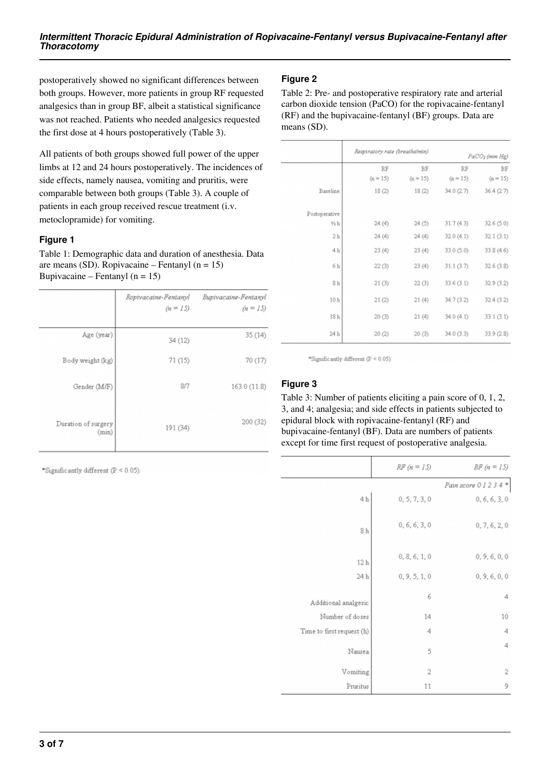postoperatively showed no significant differences between both groups. However, more patients in group RF requested analgesics than in group BF, albeit a statistical significance was not reached. Patients who needed analgesics requested the first dose at 4 hours postoperatively (Table 3).

All patients of both groups showed full power of the upper limbs at 12 and 24 hours postoperatively. The incidences of side effects, namely nausea, vomiting and pruritis, were comparable between both groups (Table 3). A couple of patients in each group received rescue treatment (i.v. metoclopramide) for vomiting.

## **Figure 1**

Table 1: Demographic data and duration of anesthesia. Data are means (SD). Ropivacaine – Fentanyl (n = 15) Bupivacaine – Fentanyl  $(n = 15)$ 

|                              | Ropivacaine-Fentanyl<br>$(n = 15)$ | Bupivacaine-Fentanyl<br>$(n = 15)$ |
|------------------------------|------------------------------------|------------------------------------|
| Age (year)                   | 34 (12)                            | 35(14)                             |
| Body weight (kg)             | 71(15)                             | 70(17)                             |
| Gender (M/F)                 | 8/7                                | 163.0 (11.8)                       |
| Duration of surgery<br>(min) | 191 (34)                           | 200 (32)                           |

\*Significantly different (P < 0.05).

# **Figure 2**

Table 2: Pre- and postoperative respiratory rate and arterial carbon dioxide tension (PaCO) for the ropivacaine-fentanyl (RF) and the bupivacaine-fentanyl (BF) groups. Data are means (SD).

|                 | Respiratory rate (breaths/min) |            | PaCO <sub>2</sub> (mm Hg) |            |
|-----------------|--------------------------------|------------|---------------------------|------------|
|                 | RF                             | BF         | RF                        | BF         |
|                 | $(n = 15)$                     | $(n = 15)$ | $(n = 15)$                | $(n = 15)$ |
| Baseline        | 18(2)                          | 18(2)      | 34.0(2.7)                 | 36.4(2.7)  |
| Postoperative   |                                |            |                           |            |
| $\frac{1}{2}h$  | 24(4)                          | 24(5)      | 31.7(4.3)                 | 32.6(5.0)  |
| 2 <sub>h</sub>  | 24(4)                          | 24(4)      | 32.0(4.1)                 | 32.1(3.1)  |
| 4h              | 23(4)                          | 23(4)      | 33.0 (5.0)                | 33.8 (4.6) |
| 6h              | 22(3)                          | 23(4)      | 31.1(3.7)                 | 32.6(3.8)  |
| 8h              | 21(3)                          | 22(3)      | 33.6(3.1)                 | 32.9 (3.2) |
| 10 <sub>h</sub> | 21(2)                          | 21(4)      | 34.7 (3.2)                | 32.4 (3.2) |
| 18h             | 20(3)                          | 21(4)      | 34.0(4.1)                 | 33.1(3.1)  |
| 24 h            | 20(2)                          | 20(3)      | 34.0(3.3)                 | 33.9 (2.8) |

\*Significantly different (P < 0.05).

## **Figure 3**

Table 3: Number of patients eliciting a pain score of 0, 1, 2, 3, and 4; analgesia; and side effects in patients subjected to epidural block with ropivacaine-fentanyl (RF) and bupivacaine-fentanyl (BF). Data are numbers of patients except for time first request of postoperative analgesia.

|                           | $RF (n = 15)$ | $BF(n = 15)$                |
|---------------------------|---------------|-----------------------------|
|                           |               | Pain score 0 1 2 3 4 $\ast$ |
| 4 <sub>h</sub>            | 0, 5, 7, 3, 0 | 0, 6, 6, 3, 0               |
| 8 <sub>h</sub>            | 0, 6, 6, 3, 0 | 0, 7, 6, 2, 0               |
| 12 <sub>h</sub>           | 0, 8, 6, 1, 0 | 0, 9, 6, 0, 0               |
| 24 h                      | 0, 9, 5, 1, 0 | 0, 9, 6, 0, 0               |
| Additional analgesic      | 6             | 4                           |
| Number of doses           | 14            | 10                          |
| Time to first request (h) | 4             | 4                           |
| Nausea                    | 5             | 4                           |
| Vomiting                  | 2             | $\overline{c}$              |
| Pruritus                  | 11            | 9                           |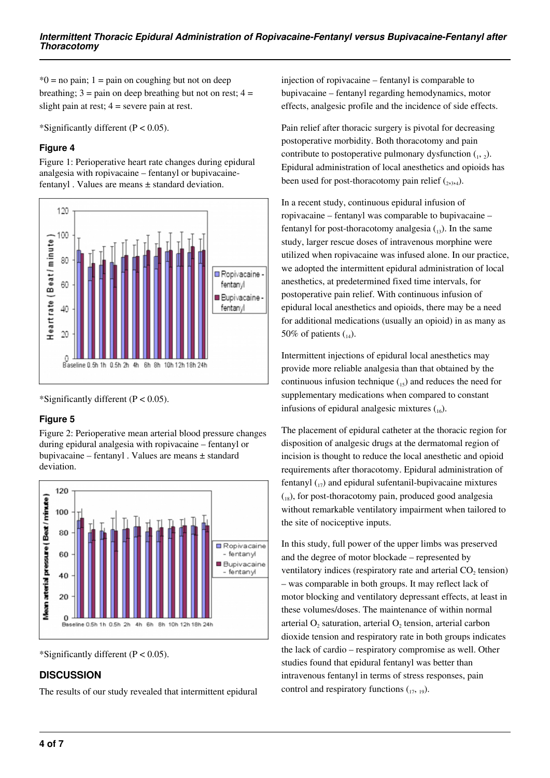$*0$  = no pain; 1 = pain on coughing but not on deep breathing;  $3 = \text{pain}$  on deep breathing but not on rest;  $4 =$ slight pain at rest;  $4 =$  severe pain at rest.

\*Significantly different  $(P < 0.05)$ .

#### **Figure 4**

Figure 1: Perioperative heart rate changes during epidural analgesia with ropivacaine – fentanyl or bupivacainefentanyl . Values are means  $\pm$  standard deviation.



\*Significantly different  $(P < 0.05)$ .

## **Figure 5**

Figure 2: Perioperative mean arterial blood pressure changes during epidural analgesia with ropivacaine – fentanyl or bupivacaine – fentanyl . Values are means ± standard deviation.



\*Significantly different  $(P < 0.05)$ .

# **DISCUSSION**

The results of our study revealed that intermittent epidural

injection of ropivacaine – fentanyl is comparable to bupivacaine – fentanyl regarding hemodynamics, motor effects, analgesic profile and the incidence of side effects.

Pain relief after thoracic surgery is pivotal for decreasing postoperative morbidity. Both thoracotomy and pain contribute to postoperative pulmonary dysfunction  $_{1}$ ,  $_{2}$ ). Epidural administration of local anesthetics and opioids has been used for post-thoracotomy pain relief  $_{(2,3,4)}$ .

In a recent study, continuous epidural infusion of ropivacaine – fentanyl was comparable to bupivacaine – fentanyl for post-thoracotomy analgesia  $\binom{13}{13}$ . In the same study, larger rescue doses of intravenous morphine were utilized when ropivacaine was infused alone. In our practice, we adopted the intermittent epidural administration of local anesthetics, at predetermined fixed time intervals, for postoperative pain relief. With continuous infusion of epidural local anesthetics and opioids, there may be a need for additional medications (usually an opioid) in as many as 50% of patients  $\binom{1}{14}$ .

Intermittent injections of epidural local anesthetics may provide more reliable analgesia than that obtained by the continuous infusion technique  $\binom{15}{15}$  and reduces the need for supplementary medications when compared to constant infusions of epidural analgesic mixtures  $({}^{16})$ .

The placement of epidural catheter at the thoracic region for disposition of analgesic drugs at the dermatomal region of incision is thought to reduce the local anesthetic and opioid requirements after thoracotomy. Epidural administration of fentanyl  $\binom{1}{1}$  and epidural sufentanil-bupivacaine mixtures  $\binom{18}{18}$ , for post-thoracotomy pain, produced good analgesia without remarkable ventilatory impairment when tailored to the site of nociceptive inputs.

In this study, full power of the upper limbs was preserved and the degree of motor blockade – represented by ventilatory indices (respiratory rate and arterial  $CO<sub>2</sub>$  tension) – was comparable in both groups. It may reflect lack of motor blocking and ventilatory depressant effects, at least in these volumes/doses. The maintenance of within normal arterial  $O_2$  saturation, arterial  $O_2$  tension, arterial carbon dioxide tension and respiratory rate in both groups indicates the lack of cardio – respiratory compromise as well. Other studies found that epidural fentanyl was better than intravenous fentanyl in terms of stress responses, pain control and respiratory functions  $(17, 19)$ .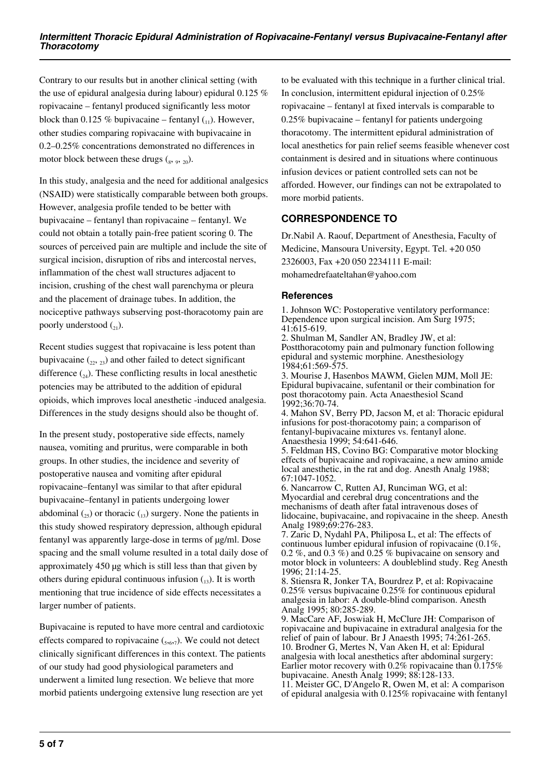Contrary to our results but in another clinical setting (with the use of epidural analgesia during labour) epidural 0.125 % ropivacaine – fentanyl produced significantly less motor block than 0.125 % bupivacaine – fentanyl  $_{(1)}$ ). However, other studies comparing ropivacaine with bupivacaine in 0.2–0.25% concentrations demonstrated no differences in motor block between these drugs  $\binom{8}{3}$ ,  $\binom{9}{20}$ .

In this study, analgesia and the need for additional analgesics (NSAID) were statistically comparable between both groups. However, analgesia profile tended to be better with bupivacaine – fentanyl than ropivacaine – fentanyl. We could not obtain a totally pain-free patient scoring 0. The sources of perceived pain are multiple and include the site of surgical incision, disruption of ribs and intercostal nerves, inflammation of the chest wall structures adjacent to incision, crushing of the chest wall parenchyma or pleura and the placement of drainage tubes. In addition, the nociceptive pathways subserving post-thoracotomy pain are poorly understood  $\binom{1}{2}$ .

Recent studies suggest that ropivacaine is less potent than bupivacaine  $(22, 23)$  and other failed to detect significant difference  $_{24}$ ). These conflicting results in local anesthetic potencies may be attributed to the addition of epidural opioids, which improves local anesthetic -induced analgesia. Differences in the study designs should also be thought of.

In the present study, postoperative side effects, namely nausea, vomiting and pruritus, were comparable in both groups. In other studies, the incidence and severity of postoperative nausea and vomiting after epidural ropivacaine–fentanyl was similar to that after epidural bupivacaine–fentanyl in patients undergoing lower abdominal  $\binom{25}{25}$  or thoracic  $\binom{13}{13}$  surgery. None the patients in this study showed respiratory depression, although epidural fentanyl was apparently large-dose in terms of µg/ml. Dose spacing and the small volume resulted in a total daily dose of approximately 450 µg which is still less than that given by others during epidural continuous infusion  $\binom{13}{12}$ . It is worth mentioning that true incidence of side effects necessitates a larger number of patients.

Bupivacaine is reputed to have more central and cardiotoxic effects compared to ropivacaine  $({}_{5,6,7})$ . We could not detect clinically significant differences in this context. The patients of our study had good physiological parameters and underwent a limited lung resection. We believe that more morbid patients undergoing extensive lung resection are yet

to be evaluated with this technique in a further clinical trial. In conclusion, intermittent epidural injection of 0.25% ropivacaine – fentanyl at fixed intervals is comparable to  $0.25\%$  bupivacaine – fentanyl for patients undergoing thoracotomy. The intermittent epidural administration of local anesthetics for pain relief seems feasible whenever cost containment is desired and in situations where continuous infusion devices or patient controlled sets can not be afforded. However, our findings can not be extrapolated to more morbid patients.

# **CORRESPONDENCE TO**

Dr.Nabil A. Raouf, Department of Anesthesia, Faculty of Medicine, Mansoura University, Egypt. Tel. +20 050 2326003, Fax +20 050 2234111 E-mail:

mohamedrefaateltahan@yahoo.com

#### **References**

1. Johnson WC: Postoperative ventilatory performance: Dependence upon surgical incision. Am Surg 1975; 41:615-619.

2. Shulman M, Sandler AN, Bradley JW, et al: Postthoracotomy pain and pulmonary function following epidural and systemic morphine. Anesthesiology 1984;61:569-575.

3. Mourise J, Hasenbos MAWM, Gielen MJM, Moll JE: Epidural bupivacaine, sufentanil or their combination for post thoracotomy pain. Acta Anaesthesiol Scand 1992;36:70-74.

4. Mahon SV, Berry PD, Jacson M, et al: Thoracic epidural infusions for post-thoracotomy pain; a comparison of fentanyl-bupivacaine mixtures vs. fentanyl alone. Anaesthesia 1999; 54:641-646.

5. Feldman HS, Covino BG: Comparative motor blocking effects of bupivacaine and ropivacaine, a new amino amide local anesthetic, in the rat and dog. Anesth Analg 1988; 67:1047-1052.

6. Nancarrow C, Rutten AJ, Runciman WG, et al: Myocardial and cerebral drug concentrations and the mechanisms of death after fatal intravenous doses of lidocaine, bupivacaine, and ropivacaine in the sheep. Anesth Analg 1989;69:276-283.

7. Zaric D, Nydahl PA, Philiposa L, et al: The effects of continuous lumber epidural infusion of ropivacaine (0.1%, 0.2 %, and 0.3 %) and 0.25 % bupivacaine on sensory and motor block in volunteers: A doubleblind study. Reg Anesth 1996; 21:14-25.

8. Stiensra R, Jonker TA, Bourdrez P, et al: Ropivacaine 0.25% versus bupivacaine 0.25% for continuous epidural analgesia in labor: A double-blind comparison. Anesth Analg 1995; 80:285-289.

9. MacCare AF, Joswiak H, McClure JH: Comparison of ropivacaine and bupivacaine in extradural analgesia for the relief of pain of labour. Br J Anaesth 1995; 74:261-265. 10. Brodner G, Mertes N, Van Aken H, et al: Epidural analgesia with local anesthetics after abdominal surgery: Earlier motor recovery with 0.2% ropivacaine than  $0.175%$ bupivacaine. Anesth Analg 1999; 88:128-133.

11. Meister GC, D'Angelo R, Owen M, et al: A comparison of epidural analgesia with 0.125% ropivacaine with fentanyl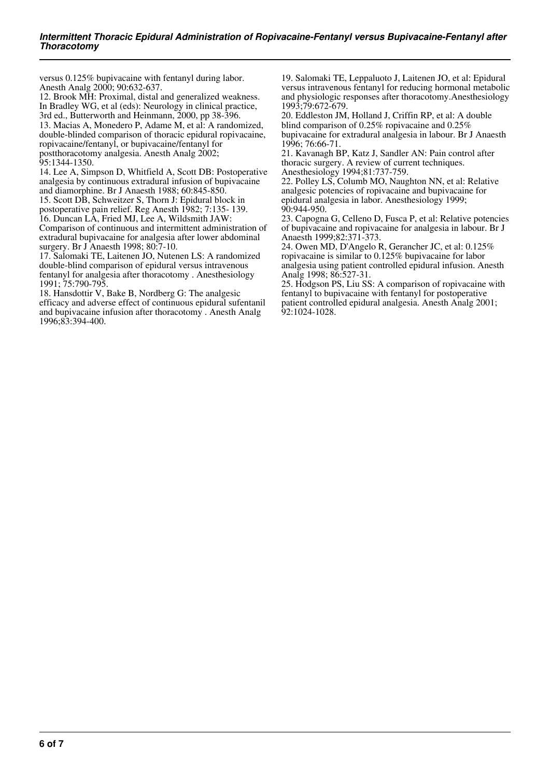versus 0.125% bupivacaine with fentanyl during labor. Anesth Analg 2000; 90:632-637.

12. Brook MH: Proximal, distal and generalized weakness. In Bradley WG, et al (eds): Neurology in clinical practice, 3rd ed., Butterworth and Heinmann, 2000, pp 38-396. 13. Macias A, Monedero P, Adame M, et al: A randomized, double-blinded comparison of thoracic epidural ropivacaine, ropivacaine/fentanyl, or bupivacaine/fentanyl for postthoracotomy analgesia. Anesth Analg 2002; 95:1344-1350.

14. Lee A, Simpson D, Whitfield A, Scott DB: Postoperative analgesia by continuous extradural infusion of bupivacaine and diamorphine. Br J Anaesth 1988; 60:845-850.

15. Scott DB, Schweitzer S, Thorn J: Epidural block in postoperative pain relief. Reg Anesth 1982; 7:135- 139.

16. Duncan LA, Fried MJ, Lee A, Wildsmith JAW: Comparison of continuous and intermittent administration of extradural bupivacaine for analgesia after lower abdominal surgery. Br J Anaesth 1998; 80:7-10.

17. Salomaki TE, Laitenen JO, Nutenen LS: A randomized double-blind comparison of epidural versus intravenous fentanyl for analgesia after thoracotomy . Anesthesiology 1991; 75:790-795.

18. Hansdottir V, Bake B, Nordberg G: The analgesic efficacy and adverse effect of continuous epidural sufentanil and bupivacaine infusion after thoracotomy . Anesth Analg 1996;83:394-400.

19. Salomaki TE, Leppaluoto J, Laitenen JO, et al: Epidural versus intravenous fentanyl for reducing hormonal metabolic and physiologic responses after thoracotomy.Anesthesiology 1993;79:672-679.

20. Eddleston JM, Holland J, Criffin RP, et al: A double blind comparison of 0.25% ropivacaine and 0.25% bupivacaine for extradural analgesia in labour. Br J Anaesth 1996; 76:66-71.

21. Kavanagh BP, Katz J, Sandler AN: Pain control after thoracic surgery. A review of current techniques. Anesthesiology 1994;81:737-759.

22. Polley LS, Columb MO, Naughton NN, et al: Relative analgesic potencies of ropivacaine and bupivacaine for epidural analgesia in labor. Anesthesiology 1999; 90:944-950.

23. Capogna G, Celleno D, Fusca P, et al: Relative potencies of bupivacaine and ropivacaine for analgesia in labour. Br J Anaesth 1999;82:371-373.

24. Owen MD, D'Angelo R, Gerancher JC, et al: 0.125% ropivacaine is similar to 0.125% bupivacaine for labor analgesia using patient controlled epidural infusion. Anesth Analg 1998; 86:527-31.

25. Hodgson PS, Liu SS: A comparison of ropivacaine with fentanyl to bupivacaine with fentanyl for postoperative patient controlled epidural analgesia. Anesth Analg 2001; 92:1024-1028.